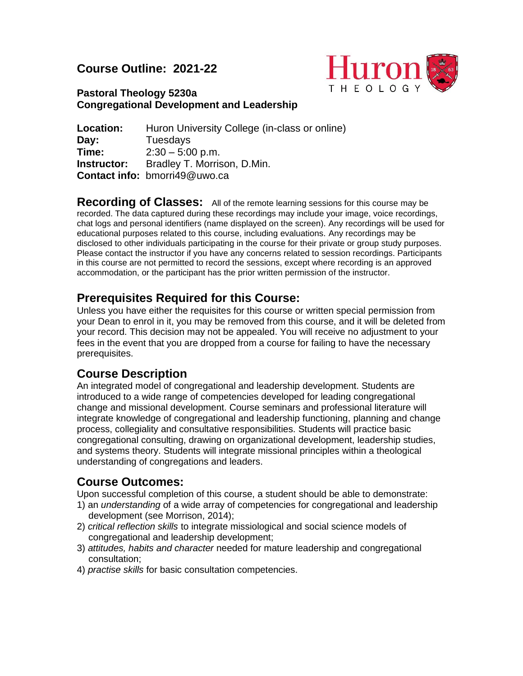## **Course Outline: 2021-22**



## **Pastoral Theology 5230a Congregational Development and Leadership**

| Location:   | Huron University College (in-class or online) |
|-------------|-----------------------------------------------|
| Day:        | Tuesdays                                      |
| Time:       | $2:30 - 5:00$ p.m.                            |
| Instructor: | Bradley T. Morrison, D.Min.                   |
|             | Contact info: bmorri49@uwo.ca                 |

**Recording of Classes:** All of the remote learning sessions for this course may be recorded. The data captured during these recordings may include your image, voice recordings, chat logs and personal identifiers (name displayed on the screen). Any recordings will be used for educational purposes related to this course, including evaluations. Any recordings may be disclosed to other individuals participating in the course for their private or group study purposes. Please contact the instructor if you have any concerns related to session recordings. Participants in this course are not permitted to record the sessions, except where recording is an approved accommodation, or the participant has the prior written permission of the instructor.

## **Prerequisites Required for this Course:**

Unless you have either the requisites for this course or written special permission from your Dean to enrol in it, you may be removed from this course, and it will be deleted from your record. This decision may not be appealed. You will receive no adjustment to your fees in the event that you are dropped from a course for failing to have the necessary prerequisites.

# **Course Description**

An integrated model of congregational and leadership development. Students are introduced to a wide range of competencies developed for leading congregational change and missional development. Course seminars and professional literature will integrate knowledge of congregational and leadership functioning, planning and change process, collegiality and consultative responsibilities. Students will practice basic congregational consulting, drawing on organizational development, leadership studies, and systems theory. Students will integrate missional principles within a theological understanding of congregations and leaders.

## **Course Outcomes:**

Upon successful completion of this course, a student should be able to demonstrate:

- 1) an *understanding* of a wide array of competencies for congregational and leadership development (see Morrison, 2014);
- 2) *critical reflection skills* to integrate missiological and social science models of congregational and leadership development;
- 3) *attitudes, habits and character* needed for mature leadership and congregational consultation;
- 4) *practise skills* for basic consultation competencies.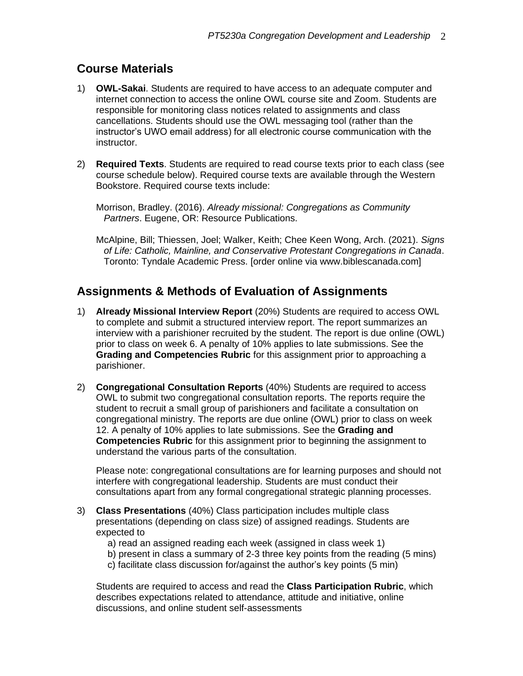# **Course Materials**

- 1) **OWL-Sakai**. Students are required to have access to an adequate computer and internet connection to access the online OWL course site and Zoom. Students are responsible for monitoring class notices related to assignments and class cancellations. Students should use the OWL messaging tool (rather than the instructor's UWO email address) for all electronic course communication with the instructor.
- 2) **Required Texts**. Students are required to read course texts prior to each class (see course schedule below). Required course texts are available through the Western Bookstore. Required course texts include:

Morrison, Bradley. (2016). *Already missional: Congregations as Community Partners*. Eugene, OR: Resource Publications.

McAlpine, Bill; Thiessen, Joel; Walker, Keith; Chee Keen Wong, Arch. (2021). *Signs of Life: Catholic, Mainline, and Conservative Protestant Congregations in Canada*. Toronto: Tyndale Academic Press. [order online via www.biblescanada.com]

# **Assignments & Methods of Evaluation of Assignments**

- 1) **Already Missional Interview Report** (20%) Students are required to access OWL to complete and submit a structured interview report. The report summarizes an interview with a parishioner recruited by the student. The report is due online (OWL) prior to class on week 6. A penalty of 10% applies to late submissions. See the **Grading and Competencies Rubric** for this assignment prior to approaching a parishioner.
- 2) **Congregational Consultation Reports** (40%) Students are required to access OWL to submit two congregational consultation reports. The reports require the student to recruit a small group of parishioners and facilitate a consultation on congregational ministry. The reports are due online (OWL) prior to class on week 12. A penalty of 10% applies to late submissions. See the **Grading and Competencies Rubric** for this assignment prior to beginning the assignment to understand the various parts of the consultation.

Please note: congregational consultations are for learning purposes and should not interfere with congregational leadership. Students are must conduct their consultations apart from any formal congregational strategic planning processes.

- 3) **Class Presentations** (40%) Class participation includes multiple class presentations (depending on class size) of assigned readings. Students are expected to
	- a) read an assigned reading each week (assigned in class week 1)
	- b) present in class a summary of 2-3 three key points from the reading (5 mins)
	- c) facilitate class discussion for/against the author's key points (5 min)

Students are required to access and read the **Class Participation Rubric**, which describes expectations related to attendance, attitude and initiative, online discussions, and online student self-assessments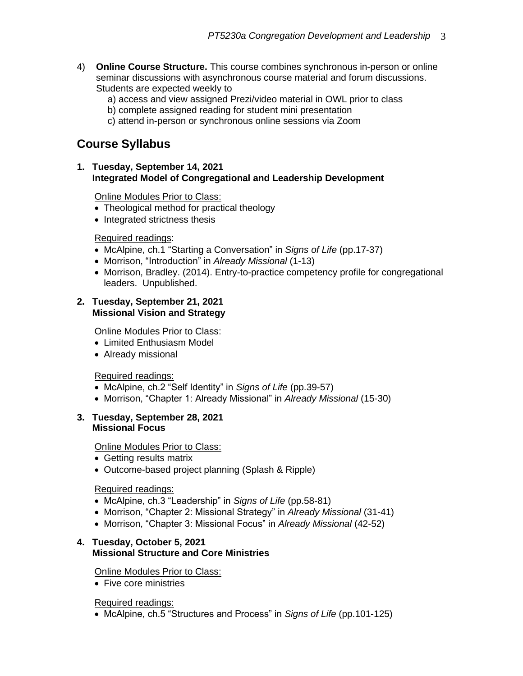- 4) **Online Course Structure.** This course combines synchronous in-person or online seminar discussions with asynchronous course material and forum discussions. Students are expected weekly to
	- a) access and view assigned Prezi/video material in OWL prior to class
	- b) complete assigned reading for student mini presentation
	- c) attend in-person or synchronous online sessions via Zoom

# **Course Syllabus**

**1. Tuesday, September 14, 2021 Integrated Model of Congregational and Leadership Development** 

**Online Modules Prior to Class:** 

- Theological method for practical theology
- Integrated strictness thesis

### Required readings:

- McAlpine, ch.1 "Starting a Conversation" in *Signs of Life* (pp.17-37)
- Morrison, "Introduction" in *Already Missional* (1-13)
- Morrison, Bradley. (2014). Entry-to-practice competency profile for congregational leaders. Unpublished.

#### **2. Tuesday, September 21, 2021 Missional Vision and Strategy**

Online Modules Prior to Class:

- Limited Enthusiasm Model
- Already missional

### Required readings:

- McAlpine, ch.2 "Self Identity" in *Signs of Life* (pp.39-57)
- Morrison, "Chapter 1: Already Missional" in *Already Missional* (15-30)

#### **3. Tuesday, September 28, 2021 Missional Focus**

Online Modules Prior to Class:

- Getting results matrix
- Outcome-based project planning (Splash & Ripple)

### Required readings:

- McAlpine, ch.3 "Leadership" in *Signs of Life* (pp.58-81)
- Morrison, "Chapter 2: Missional Strategy" in *Already Missional* (31-41)
- Morrison, "Chapter 3: Missional Focus" in *Already Missional* (42-52)

### **4. Tuesday, October 5, 2021 Missional Structure and Core Ministries**

Online Modules Prior to Class:

• Five core ministries

### Required readings:

• McAlpine, ch.5 "Structures and Process" in *Signs of Life* (pp.101-125)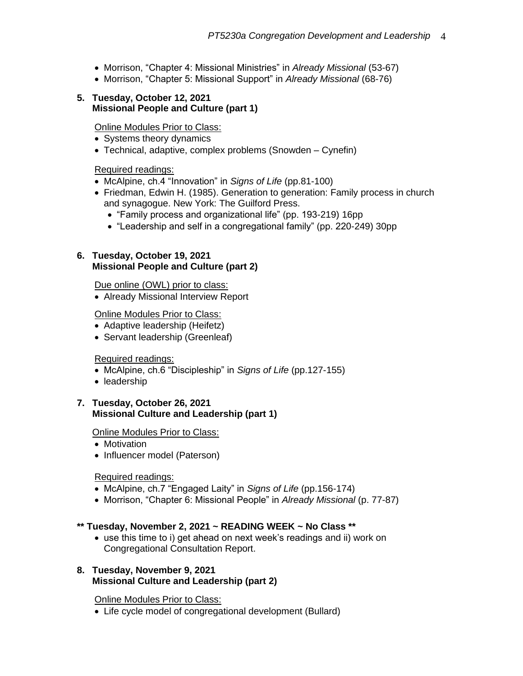- Morrison, "Chapter 4: Missional Ministries" in *Already Missional* (53-67)
- Morrison, "Chapter 5: Missional Support" in *Already Missional* (68-76)

#### **5. Tuesday, October 12, 2021 Missional People and Culture (part 1)**

### Online Modules Prior to Class:

- Systems theory dynamics
- Technical, adaptive, complex problems (Snowden Cynefin)

#### Required readings:

- McAlpine, ch.4 "Innovation" in *Signs of Life* (pp.81-100)
- Friedman, Edwin H. (1985). Generation to generation: Family process in church and synagogue. New York: The Guilford Press.
	- "Family process and organizational life" (pp. 193-219) 16pp
	- "Leadership and self in a congregational family" (pp. 220-249) 30pp

#### **6. Tuesday, October 19, 2021 Missional People and Culture (part 2)**

Due online (OWL) prior to class:

• Already Missional Interview Report

#### Online Modules Prior to Class:

- Adaptive leadership (Heifetz)
- Servant leadership (Greenleaf)

#### Required readings:

- McAlpine, ch.6 "Discipleship" in *Signs of Life* (pp.127-155)
- leadership

#### **7. Tuesday, October 26, 2021 Missional Culture and Leadership (part 1)**

#### Online Modules Prior to Class:

- Motivation
- Influencer model (Paterson)

### Required readings:

- McAlpine, ch.7 "Engaged Laity" in *Signs of Life* (pp.156-174)
- Morrison, "Chapter 6: Missional People" in *Already Missional* (p. 77-87)

### **\*\* Tuesday, November 2, 2021 ~ READING WEEK ~ No Class \*\***

• use this time to i) get ahead on next week's readings and ii) work on Congregational Consultation Report.

#### **8. Tuesday, November 9, 2021 Missional Culture and Leadership (part 2)**

#### Online Modules Prior to Class:

• Life cycle model of congregational development (Bullard)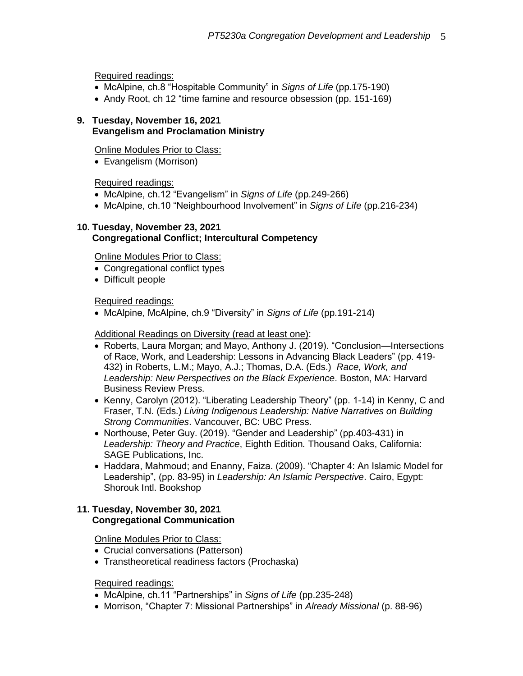Required readings:

- McAlpine, ch.8 "Hospitable Community" in *Signs of Life* (pp.175-190)
- Andy Root, ch 12 "time famine and resource obsession (pp. 151-169)

#### **9. Tuesday, November 16, 2021 Evangelism and Proclamation Ministry**

Online Modules Prior to Class:

• Evangelism (Morrison)

Required readings:

- McAlpine, ch.12 "Evangelism" in *Signs of Life* (pp.249-266)
- McAlpine, ch.10 "Neighbourhood Involvement" in *Signs of Life* (pp.216-234)

### **10. Tuesday, November 23, 2021 Congregational Conflict; Intercultural Competency**

Online Modules Prior to Class:

- Congregational conflict types
- Difficult people

### Required readings:

• McAlpine, McAlpine, ch.9 "Diversity" in *Signs of Life* (pp.191-214)

Additional Readings on Diversity (read at least one):

- Roberts, Laura Morgan; and Mayo, Anthony J. (2019). "Conclusion—Intersections of Race, Work, and Leadership: Lessons in Advancing Black Leaders" (pp. 419- 432) in Roberts, L.M.; Mayo, A.J.; Thomas, D.A. (Eds.) *Race, Work, and Leadership: New Perspectives on the Black Experience*. Boston, MA: Harvard Business Review Press.
- Kenny, Carolyn (2012). "Liberating Leadership Theory" (pp. 1-14) in Kenny, C and Fraser, T.N. (Eds.) *Living Indigenous Leadership: Native Narratives on Building Strong Communities*. Vancouver, BC: UBC Press.
- Northouse, Peter Guy. (2019). "Gender and Leadership" (pp.403-431) in *Leadership: Theory and Practice*, Eighth Edition*.* Thousand Oaks, California: SAGE Publications, Inc.
- Haddara, Mahmoud; and Enanny, Faiza. (2009). "Chapter 4: An Islamic Model for Leadership", (pp. 83-95) in *Leadership: An Islamic Perspective*. Cairo, Egypt: Shorouk Intl. Bookshop

### **11. Tuesday, November 30, 2021 Congregational Communication**

Online Modules Prior to Class:

- Crucial conversations (Patterson)
- Transtheoretical readiness factors (Prochaska)

Required readings:

- McAlpine, ch.11 "Partnerships" in *Signs of Life* (pp.235-248)
- Morrison, "Chapter 7: Missional Partnerships" in *Already Missional* (p. 88-96)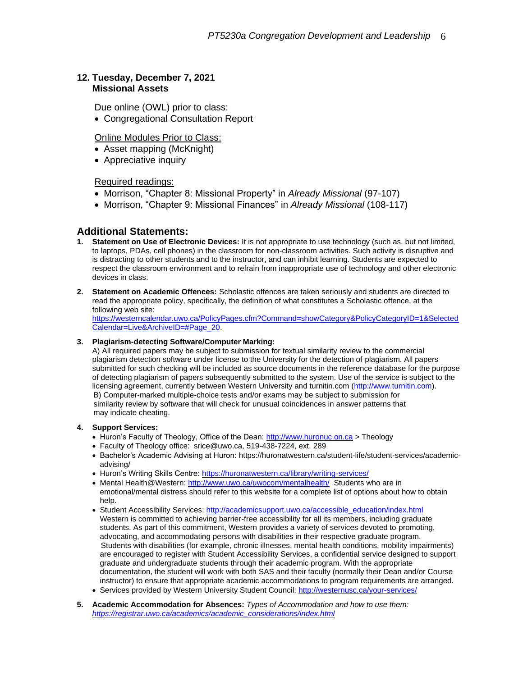#### **12. Tuesday, December 7, 2021 Missional Assets**

Due online (OWL) prior to class:

• Congregational Consultation Report

#### **Online Modules Prior to Class:**

- Asset mapping (McKnight)
- Appreciative inquiry

#### Required readings:

- Morrison, "Chapter 8: Missional Property" in *Already Missional* (97-107)
- Morrison, "Chapter 9: Missional Finances" in *Already Missional* (108-117)

#### **Additional Statements:**

- **1. Statement on Use of Electronic Devices:** It is not appropriate to use technology (such as, but not limited, to laptops, PDAs, cell phones) in the classroom for non-classroom activities. Such activity is disruptive and is distracting to other students and to the instructor, and can inhibit learning. Students are expected to respect the classroom environment and to refrain from inappropriate use of technology and other electronic devices in class.
- **2. Statement on Academic Offences:** Scholastic offences are taken seriously and students are directed to read the appropriate policy, specifically, the definition of what constitutes a Scholastic offence, at the following web site:

[https://westerncalendar.uwo.ca/PolicyPages.cfm?Command=showCategory&PolicyCategoryID=1&Selected](https://westerncalendar.uwo.ca/PolicyPages.cfm?Command=showCategory&PolicyCategoryID=1&SelectedCalendar=Live&ArchiveID=#Page_20) [Calendar=Live&ArchiveID=#Page\\_20.](https://westerncalendar.uwo.ca/PolicyPages.cfm?Command=showCategory&PolicyCategoryID=1&SelectedCalendar=Live&ArchiveID=#Page_20)

#### **3. Plagiarism-detecting Software/Computer Marking:**

A) All required papers may be subject to submission for textual similarity review to the commercial plagiarism detection software under license to the University for the detection of plagiarism. All papers submitted for such checking will be included as source documents in the reference database for the purpose of detecting plagiarism of papers subsequently submitted to the system. Use of the service is subject to the licensing agreement, currently between Western University and turnitin.com [\(http://www.turnitin.com\)](http://www.turnitin.com/). B) Computer-marked multiple-choice tests and/or exams may be subject to submission for similarity review by software that will check for unusual coincidences in answer patterns that may indicate cheating.

#### **4. Support Services:**

- Huron's Faculty of Theology, Office of the Dean[: http://www.huronuc.on.ca](http://www.huronuc.on.ca/) > Theology
- Faculty of Theology office: srice@uwo.ca, 519-438-7224, ext. 289
- Bachelor's Academic Advising at Huron[: https://huronatwestern.ca/student-life/student-services/academic](https://huronatwestern.ca/student-life/student-services/academic-advising/)[advising/](https://huronatwestern.ca/student-life/student-services/academic-advising/)
- Huron's Writing Skills Centre[: https://huronatwestern.ca/library/writing-services/](https://huronatwestern.ca/library/writing-services/)
- Mental Health@Western:<http://www.uwo.ca/uwocom/mentalhealth/>Students who are in emotional/mental distress should refer to this website for a complete list of options about how to obtain help.
- Student Accessibility Services[: http://academicsupport.uwo.ca/accessible\\_education/index.html](http://academicsupport.uwo.ca/accessible_education/index.html) Western is committed to achieving barrier-free accessibility for all its members, including graduate students. As part of this commitment, Western provides a variety of services devoted to promoting, advocating, and accommodating persons with disabilities in their respective graduate program. Students with disabilities (for example, chronic illnesses, mental health conditions, mobility impairments) are encouraged to register with Student Accessibility Services, a confidential service designed to support graduate and undergraduate students through their academic program. With the appropriate documentation, the student will work with both SAS and their faculty (normally their Dean and/or Course instructor) to ensure that appropriate academic accommodations to program requirements are arranged.
- Services provided by Western University Student Council:<http://westernusc.ca/your-services/>
- **5. Academic Accommodation for Absences:** *Types of Accommodation and how to use them: [https://registrar.uwo.ca/academics/academic\\_considerations/index.html](https://registrar.uwo.ca/academics/academic_considerations/index.html)*